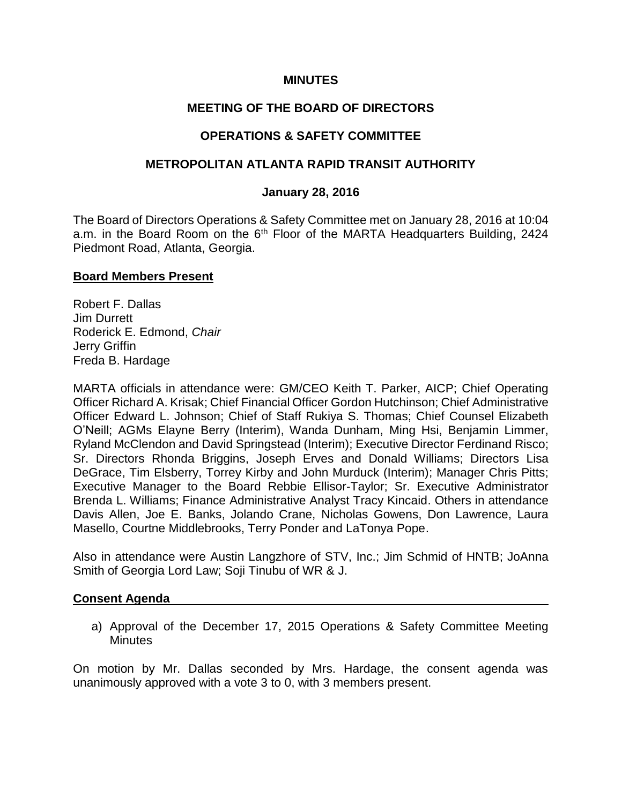### **MINUTES**

## **MEETING OF THE BOARD OF DIRECTORS**

## **OPERATIONS & SAFETY COMMITTEE**

### **METROPOLITAN ATLANTA RAPID TRANSIT AUTHORITY**

#### **January 28, 2016**

The Board of Directors Operations & Safety Committee met on January 28, 2016 at 10:04 a.m. in the Board Room on the 6<sup>th</sup> Floor of the MARTA Headquarters Building, 2424 Piedmont Road, Atlanta, Georgia.

#### **Board Members Present**

Robert F. Dallas Jim Durrett Roderick E. Edmond, *Chair* Jerry Griffin Freda B. Hardage

MARTA officials in attendance were: GM/CEO Keith T. Parker, AICP; Chief Operating Officer Richard A. Krisak; Chief Financial Officer Gordon Hutchinson; Chief Administrative Officer Edward L. Johnson; Chief of Staff Rukiya S. Thomas; Chief Counsel Elizabeth O'Neill; AGMs Elayne Berry (Interim), Wanda Dunham, Ming Hsi, Benjamin Limmer, Ryland McClendon and David Springstead (Interim); Executive Director Ferdinand Risco; Sr. Directors Rhonda Briggins, Joseph Erves and Donald Williams; Directors Lisa DeGrace, Tim Elsberry, Torrey Kirby and John Murduck (Interim); Manager Chris Pitts; Executive Manager to the Board Rebbie Ellisor-Taylor; Sr. Executive Administrator Brenda L. Williams; Finance Administrative Analyst Tracy Kincaid. Others in attendance Davis Allen, Joe E. Banks, Jolando Crane, Nicholas Gowens, Don Lawrence, Laura Masello, Courtne Middlebrooks, Terry Ponder and LaTonya Pope.

Also in attendance were Austin Langzhore of STV, Inc.; Jim Schmid of HNTB; JoAnna Smith of Georgia Lord Law; Soji Tinubu of WR & J.

#### **Consent Agenda**

a) Approval of the December 17, 2015 Operations & Safety Committee Meeting **Minutes** 

On motion by Mr. Dallas seconded by Mrs. Hardage, the consent agenda was unanimously approved with a vote 3 to 0, with 3 members present.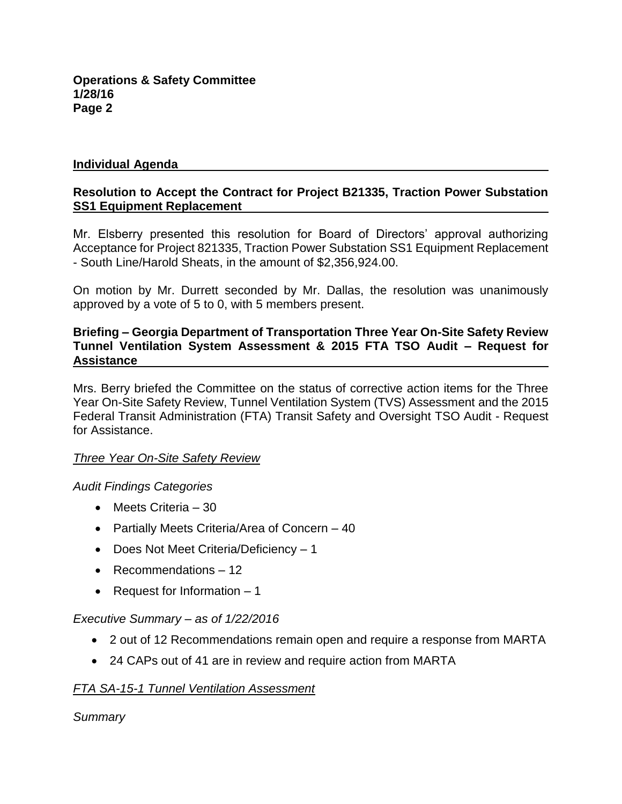### **Individual Agenda**

## **Resolution to Accept the Contract for Project B21335, Traction Power Substation SS1 Equipment Replacement**

Mr. Elsberry presented this resolution for Board of Directors' approval authorizing Acceptance for Project 821335, Traction Power Substation SS1 Equipment Replacement - South Line/Harold Sheats, in the amount of \$2,356,924.00.

On motion by Mr. Durrett seconded by Mr. Dallas, the resolution was unanimously approved by a vote of 5 to 0, with 5 members present.

### **Briefing – Georgia Department of Transportation Three Year On-Site Safety Review Tunnel Ventilation System Assessment & 2015 FTA TSO Audit – Request for Assistance**

Mrs. Berry briefed the Committee on the status of corrective action items for the Three Year On-Site Safety Review, Tunnel Ventilation System (TVS) Assessment and the 2015 Federal Transit Administration (FTA) Transit Safety and Oversight TSO Audit - Request for Assistance.

## *Three Year On-Site Safety Review*

## *Audit Findings Categories*

- Meets Criteria 30
- Partially Meets Criteria/Area of Concern 40
- Does Not Meet Criteria/Deficiency 1
- Recommendations 12
- Request for Information  $-1$

## *Executive Summary* – *as of 1/22/2016*

- 2 out of 12 Recommendations remain open and require a response from MARTA
- 24 CAPs out of 41 are in review and require action from MARTA

## *FTA SA-15-1 Tunnel Ventilation Assessment*

*Summary*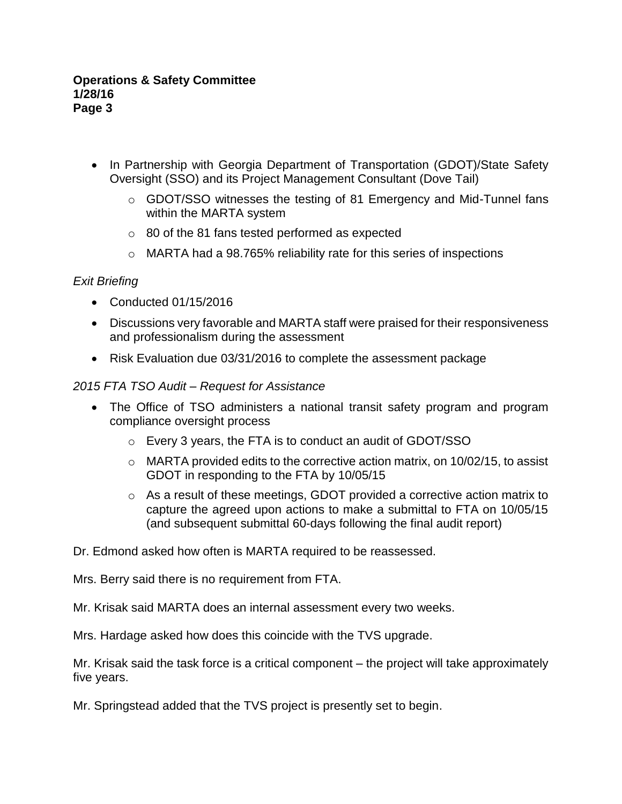- In Partnership with Georgia Department of Transportation (GDOT)/State Safety Oversight (SSO) and its Project Management Consultant (Dove Tail)
	- o GDOT/SSO witnesses the testing of 81 Emergency and Mid-Tunnel fans within the MARTA system
	- o 80 of the 81 fans tested performed as expected
	- o MARTA had a 98.765% reliability rate for this series of inspections

## *Exit Briefing*

- Conducted 01/15/2016
- Discussions very favorable and MARTA staff were praised for their responsiveness and professionalism during the assessment
- Risk Evaluation due 03/31/2016 to complete the assessment package

## *2015 FTA TSO Audit – Request for Assistance*

- The Office of TSO administers a national transit safety program and program compliance oversight process
	- o Every 3 years, the FTA is to conduct an audit of GDOT/SSO
	- $\circ$  MARTA provided edits to the corrective action matrix, on 10/02/15, to assist GDOT in responding to the FTA by 10/05/15
	- o As a result of these meetings, GDOT provided a corrective action matrix to capture the agreed upon actions to make a submittal to FTA on 10/05/15 (and subsequent submittal 60-days following the final audit report)

Dr. Edmond asked how often is MARTA required to be reassessed.

Mrs. Berry said there is no requirement from FTA.

Mr. Krisak said MARTA does an internal assessment every two weeks.

Mrs. Hardage asked how does this coincide with the TVS upgrade.

Mr. Krisak said the task force is a critical component – the project will take approximately five years.

Mr. Springstead added that the TVS project is presently set to begin.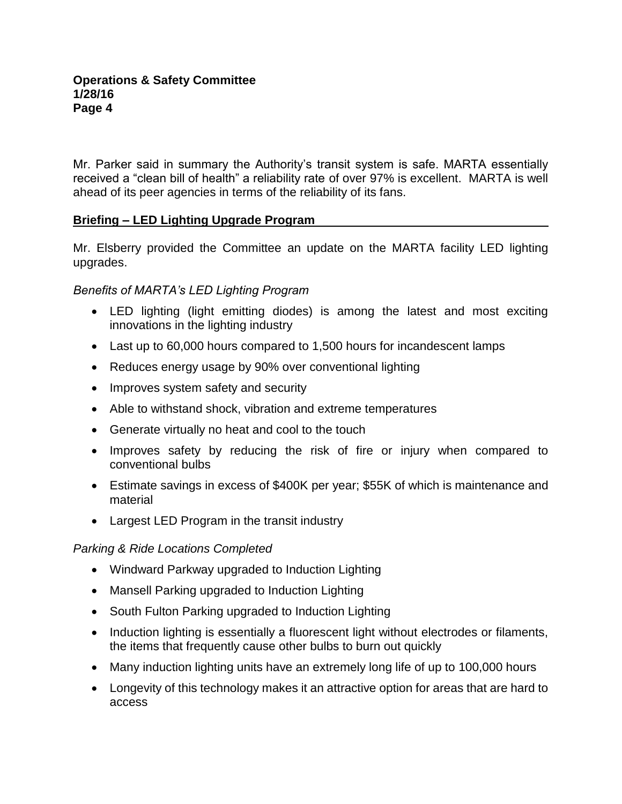Mr. Parker said in summary the Authority's transit system is safe. MARTA essentially received a "clean bill of health" a reliability rate of over 97% is excellent. MARTA is well ahead of its peer agencies in terms of the reliability of its fans.

## **Briefing – LED Lighting Upgrade Program**

Mr. Elsberry provided the Committee an update on the MARTA facility LED lighting upgrades.

## *Benefits of MARTA's LED Lighting Program*

- LED lighting (light emitting diodes) is among the latest and most exciting innovations in the lighting industry
- Last up to 60,000 hours compared to 1,500 hours for incandescent lamps
- Reduces energy usage by 90% over conventional lighting
- Improves system safety and security
- Able to withstand shock, vibration and extreme temperatures
- Generate virtually no heat and cool to the touch
- Improves safety by reducing the risk of fire or injury when compared to conventional bulbs
- Estimate savings in excess of \$400K per year; \$55K of which is maintenance and material
- Largest LED Program in the transit industry

# *Parking & Ride Locations Completed*

- Windward Parkway upgraded to Induction Lighting
- Mansell Parking upgraded to Induction Lighting
- South Fulton Parking upgraded to Induction Lighting
- Induction lighting is essentially a fluorescent light without electrodes or filaments, the items that frequently cause other bulbs to burn out quickly
- Many induction lighting units have an extremely long life of up to 100,000 hours
- Longevity of this technology makes it an attractive option for areas that are hard to access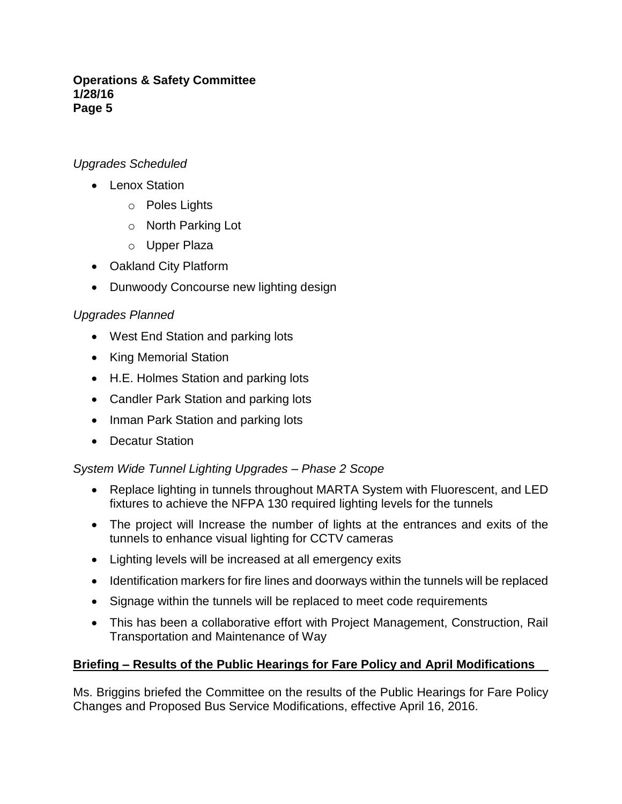# *Upgrades Scheduled*

- Lenox Station
	- o Poles Lights
	- o North Parking Lot
	- o Upper Plaza
- Oakland City Platform
- Dunwoody Concourse new lighting design

# *Upgrades Planned*

- West End Station and parking lots
- King Memorial Station
- H.E. Holmes Station and parking lots
- Candler Park Station and parking lots
- Inman Park Station and parking lots
- Decatur Station

# *System Wide Tunnel Lighting Upgrades – Phase 2 Scope*

- Replace lighting in tunnels throughout MARTA System with Fluorescent, and LED fixtures to achieve the NFPA 130 required lighting levels for the tunnels
- The project will Increase the number of lights at the entrances and exits of the tunnels to enhance visual lighting for CCTV cameras
- Lighting levels will be increased at all emergency exits
- Identification markers for fire lines and doorways within the tunnels will be replaced
- Signage within the tunnels will be replaced to meet code requirements
- This has been a collaborative effort with Project Management, Construction, Rail Transportation and Maintenance of Way

# **Briefing – Results of the Public Hearings for Fare Policy and April Modifications**

Ms. Briggins briefed the Committee on the results of the Public Hearings for Fare Policy Changes and Proposed Bus Service Modifications, effective April 16, 2016.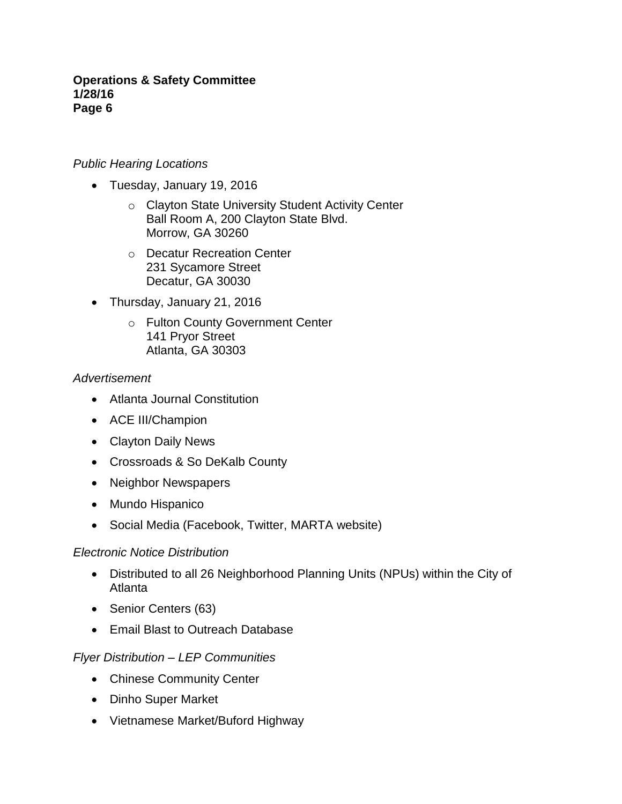## *Public Hearing Locations*

- Tuesday, January 19, 2016
	- o Clayton State University Student Activity Center Ball Room A, 200 Clayton State Blvd. Morrow, GA 30260
	- o Decatur Recreation Center 231 Sycamore Street Decatur, GA 30030
- Thursday, January 21, 2016
	- o Fulton County Government Center 141 Pryor Street Atlanta, GA 30303

## *Advertisement*

- Atlanta Journal Constitution
- ACE III/Champion
- Clayton Daily News
- Crossroads & So DeKalb County
- Neighbor Newspapers
- Mundo Hispanico
- Social Media (Facebook, Twitter, MARTA website)

## *Electronic Notice Distribution*

- Distributed to all 26 Neighborhood Planning Units (NPUs) within the City of Atlanta
- Senior Centers (63)
- Email Blast to Outreach Database

## *Flyer Distribution – LEP Communities*

- Chinese Community Center
- Dinho Super Market
- Vietnamese Market/Buford Highway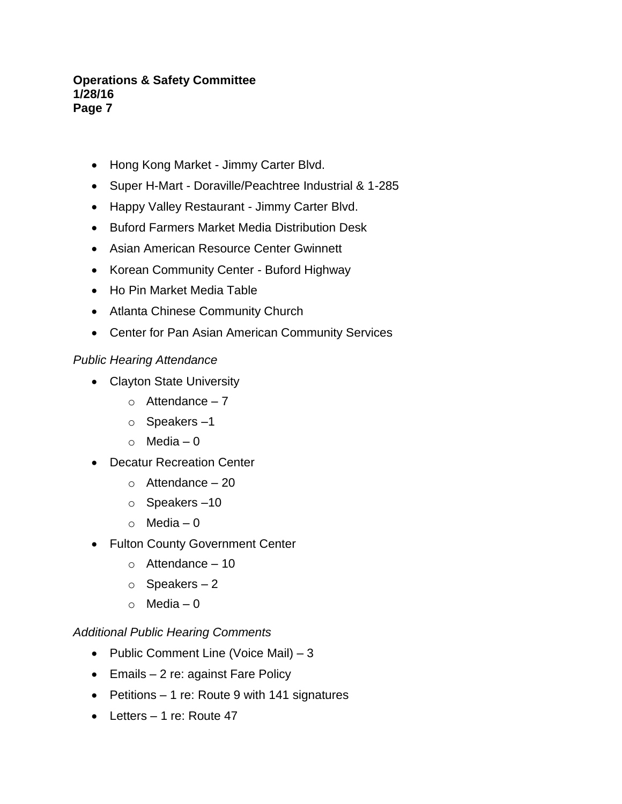- Hong Kong Market Jimmy Carter Blvd.
- Super H-Mart Doraville/Peachtree Industrial & 1-285
- Happy Valley Restaurant Jimmy Carter Blvd.
- Buford Farmers Market Media Distribution Desk
- Asian American Resource Center Gwinnett
- Korean Community Center Buford Highway
- Ho Pin Market Media Table
- Atlanta Chinese Community Church
- Center for Pan Asian American Community Services

# *Public Hearing Attendance*

- Clayton State University
	- $\circ$  Attendance 7
	- o Speakers –1
	- $\circ$  Media 0
- Decatur Recreation Center
	- $\circ$  Attendance 20
	- o Speakers –10
	- $\circ$  Media 0
- Fulton County Government Center
	- $\circ$  Attendance 10
	- $\circ$  Speakers 2
	- o Media 0

# *Additional Public Hearing Comments*

- Public Comment Line (Voice Mail)  $-3$
- Emails 2 re: against Fare Policy
- Petitions 1 re: Route 9 with 141 signatures
- $\bullet$  Letters 1 re: Route 47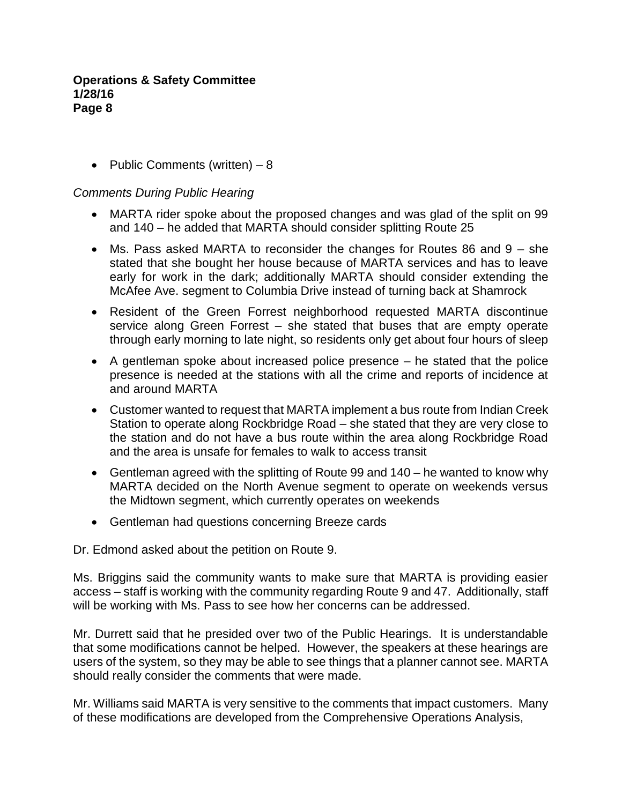• Public Comments (written)  $-8$ 

## *Comments During Public Hearing*

- MARTA rider spoke about the proposed changes and was glad of the split on 99 and 140 – he added that MARTA should consider splitting Route 25
- Ms. Pass asked MARTA to reconsider the changes for Routes 86 and 9 she stated that she bought her house because of MARTA services and has to leave early for work in the dark; additionally MARTA should consider extending the McAfee Ave. segment to Columbia Drive instead of turning back at Shamrock
- Resident of the Green Forrest neighborhood requested MARTA discontinue service along Green Forrest – she stated that buses that are empty operate through early morning to late night, so residents only get about four hours of sleep
- A gentleman spoke about increased police presence he stated that the police presence is needed at the stations with all the crime and reports of incidence at and around MARTA
- Customer wanted to request that MARTA implement a bus route from Indian Creek Station to operate along Rockbridge Road – she stated that they are very close to the station and do not have a bus route within the area along Rockbridge Road and the area is unsafe for females to walk to access transit
- Gentleman agreed with the splitting of Route 99 and 140 he wanted to know why MARTA decided on the North Avenue segment to operate on weekends versus the Midtown segment, which currently operates on weekends
- Gentleman had questions concerning Breeze cards

Dr. Edmond asked about the petition on Route 9.

Ms. Briggins said the community wants to make sure that MARTA is providing easier access – staff is working with the community regarding Route 9 and 47. Additionally, staff will be working with Ms. Pass to see how her concerns can be addressed.

Mr. Durrett said that he presided over two of the Public Hearings. It is understandable that some modifications cannot be helped. However, the speakers at these hearings are users of the system, so they may be able to see things that a planner cannot see. MARTA should really consider the comments that were made.

Mr. Williams said MARTA is very sensitive to the comments that impact customers. Many of these modifications are developed from the Comprehensive Operations Analysis,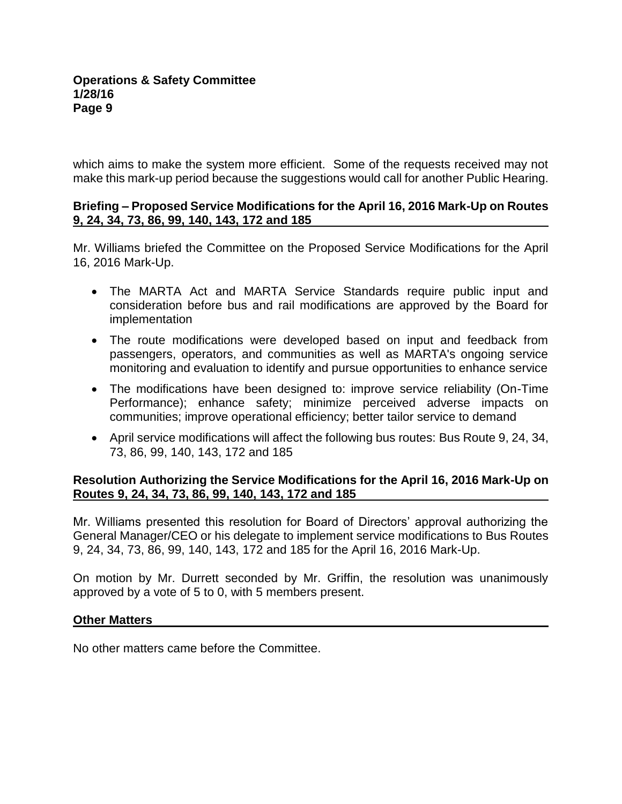which aims to make the system more efficient. Some of the requests received may not make this mark-up period because the suggestions would call for another Public Hearing.

## **Briefing – Proposed Service Modifications for the April 16, 2016 Mark-Up on Routes 9, 24, 34, 73, 86, 99, 140, 143, 172 and 185**

Mr. Williams briefed the Committee on the Proposed Service Modifications for the April 16, 2016 Mark-Up.

- The MARTA Act and MARTA Service Standards require public input and consideration before bus and rail modifications are approved by the Board for implementation
- The route modifications were developed based on input and feedback from passengers, operators, and communities as well as MARTA's ongoing service monitoring and evaluation to identify and pursue opportunities to enhance service
- The modifications have been designed to: improve service reliability (On-Time Performance); enhance safety; minimize perceived adverse impacts on communities; improve operational efficiency; better tailor service to demand
- April service modifications will affect the following bus routes: Bus Route 9, 24, 34, 73, 86, 99, 140, 143, 172 and 185

## **Resolution Authorizing the Service Modifications for the April 16, 2016 Mark-Up on Routes 9, 24, 34, 73, 86, 99, 140, 143, 172 and 185**

Mr. Williams presented this resolution for Board of Directors' approval authorizing the General Manager/CEO or his delegate to implement service modifications to Bus Routes 9, 24, 34, 73, 86, 99, 140, 143, 172 and 185 for the April 16, 2016 Mark-Up.

On motion by Mr. Durrett seconded by Mr. Griffin, the resolution was unanimously approved by a vote of 5 to 0, with 5 members present.

## **Other Matters**

No other matters came before the Committee.